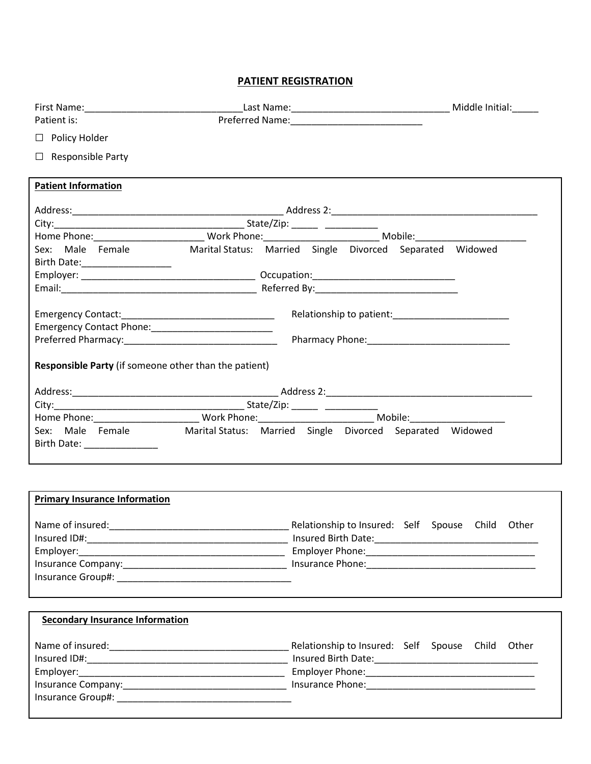## **PATIENT REGISTRATION**

| Patient is:                                           |  |                                                                                                                |  |  |  |  |
|-------------------------------------------------------|--|----------------------------------------------------------------------------------------------------------------|--|--|--|--|
| $\Box$ Policy Holder                                  |  |                                                                                                                |  |  |  |  |
| $\Box$ Responsible Party                              |  |                                                                                                                |  |  |  |  |
|                                                       |  |                                                                                                                |  |  |  |  |
| <b>Patient Information</b>                            |  |                                                                                                                |  |  |  |  |
|                                                       |  |                                                                                                                |  |  |  |  |
|                                                       |  |                                                                                                                |  |  |  |  |
|                                                       |  | Home Phone:_____________________________Work Phone:______________________________ Mobile:_____________________ |  |  |  |  |
| Birth Date:____________________                       |  | Sex: Male Female Marital Status: Married Single Divorced Separated Widowed                                     |  |  |  |  |
|                                                       |  |                                                                                                                |  |  |  |  |
|                                                       |  |                                                                                                                |  |  |  |  |
|                                                       |  |                                                                                                                |  |  |  |  |
|                                                       |  |                                                                                                                |  |  |  |  |
|                                                       |  |                                                                                                                |  |  |  |  |
|                                                       |  |                                                                                                                |  |  |  |  |
| Responsible Party (if someone other than the patient) |  |                                                                                                                |  |  |  |  |
|                                                       |  |                                                                                                                |  |  |  |  |
|                                                       |  |                                                                                                                |  |  |  |  |
|                                                       |  | Home Phone:__________________________Work Phone:_______________________________Mobile:___________________      |  |  |  |  |
| Birth Date: _________________                         |  | Sex: Male Female <b>Marital Status: Married Single Divorced Separated Widowed</b>                              |  |  |  |  |
| <b>Primary Insurance Information</b>                  |  |                                                                                                                |  |  |  |  |
| Name of insured:                                      |  | Relationship to Insured: Self Spouse Child Other                                                               |  |  |  |  |
|                                                       |  |                                                                                                                |  |  |  |  |
|                                                       |  |                                                                                                                |  |  |  |  |
|                                                       |  |                                                                                                                |  |  |  |  |
|                                                       |  |                                                                                                                |  |  |  |  |
|                                                       |  |                                                                                                                |  |  |  |  |
| <b>Secondary Insurance Information</b>                |  |                                                                                                                |  |  |  |  |
|                                                       |  | Relationship to Insured: Self Spouse Child Other                                                               |  |  |  |  |
|                                                       |  |                                                                                                                |  |  |  |  |
|                                                       |  |                                                                                                                |  |  |  |  |
|                                                       |  |                                                                                                                |  |  |  |  |

Insurance Group#: \_\_\_\_\_\_\_\_\_\_\_\_\_\_\_\_\_\_\_\_\_\_\_\_\_\_\_\_\_\_\_\_\_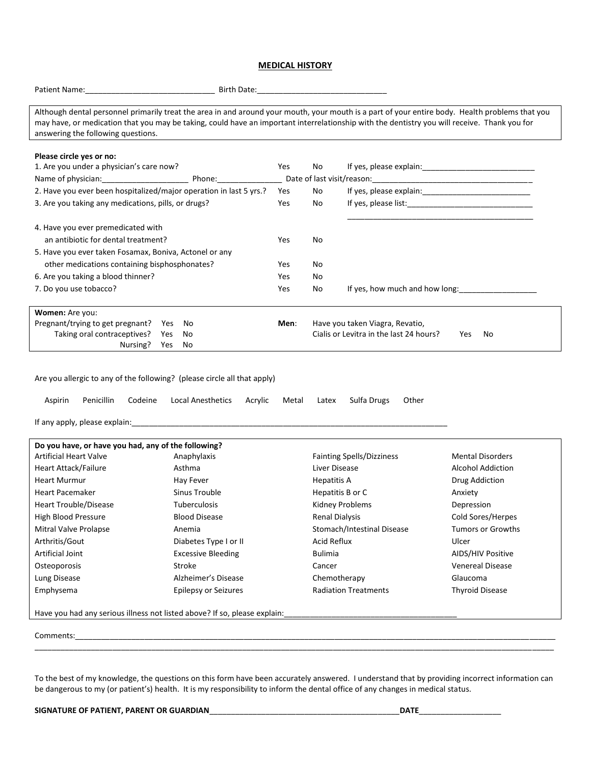#### **MEDICAL HISTORY**

| Patient Name: The contract of the contract of the contract of the contract of the contract of the contract of the contract of the contract of the contract of the contract of the contract of the contract of the contract of<br>Birth Date: The Company of the Company of the Company of the Company of the Company of the Company of the Company of the Company of the Company of the Company of the Company of the Company of the Company of the Company of |            |                                                      |                                 |  |  |
|----------------------------------------------------------------------------------------------------------------------------------------------------------------------------------------------------------------------------------------------------------------------------------------------------------------------------------------------------------------------------------------------------------------------------------------------------------------|------------|------------------------------------------------------|---------------------------------|--|--|
| Although dental personnel primarily treat the area in and around your mouth, your mouth is a part of your entire body. Health problems that you<br>may have, or medication that you may be taking, could have an important interrelationship with the dentistry you will receive. Thank you for<br>answering the following questions.                                                                                                                          |            |                                                      |                                 |  |  |
| Please circle yes or no:                                                                                                                                                                                                                                                                                                                                                                                                                                       |            |                                                      |                                 |  |  |
| 1. Are you under a physician's care now?                                                                                                                                                                                                                                                                                                                                                                                                                       |            | No                                                   |                                 |  |  |
|                                                                                                                                                                                                                                                                                                                                                                                                                                                                |            | Yes                                                  |                                 |  |  |
| 2. Have you ever been hospitalized/major operation in last 5 yrs.?                                                                                                                                                                                                                                                                                                                                                                                             | <b>Yes</b> | No l                                                 |                                 |  |  |
| 3. Are you taking any medications, pills, or drugs?                                                                                                                                                                                                                                                                                                                                                                                                            | Yes        | No.                                                  |                                 |  |  |
| 4. Have you ever premedicated with                                                                                                                                                                                                                                                                                                                                                                                                                             |            |                                                      |                                 |  |  |
| an antibiotic for dental treatment?                                                                                                                                                                                                                                                                                                                                                                                                                            |            | No                                                   |                                 |  |  |
| 5. Have you ever taken Fosamax, Boniva, Actonel or any                                                                                                                                                                                                                                                                                                                                                                                                         |            |                                                      |                                 |  |  |
| other medications containing bisphosphonates?                                                                                                                                                                                                                                                                                                                                                                                                                  |            | No                                                   |                                 |  |  |
| 6. Are you taking a blood thinner?                                                                                                                                                                                                                                                                                                                                                                                                                             |            | No                                                   |                                 |  |  |
| 7. Do you use tobacco?                                                                                                                                                                                                                                                                                                                                                                                                                                         | Yes        | No                                                   |                                 |  |  |
| Women: Are you:                                                                                                                                                                                                                                                                                                                                                                                                                                                |            |                                                      |                                 |  |  |
| Pregnant/trying to get pregnant?<br>Yes<br>No                                                                                                                                                                                                                                                                                                                                                                                                                  | Men:       |                                                      | Have you taken Viagra, Revatio, |  |  |
| Taking oral contraceptives?<br>No<br>Yes                                                                                                                                                                                                                                                                                                                                                                                                                       |            | Cialis or Levitra in the last 24 hours?<br>No<br>Yes |                                 |  |  |
| Nursing?<br>Yes<br>No                                                                                                                                                                                                                                                                                                                                                                                                                                          |            |                                                      |                                 |  |  |
|                                                                                                                                                                                                                                                                                                                                                                                                                                                                |            |                                                      |                                 |  |  |
| A second of the set of a construction of all contained. As the second set of a link of a second $\Lambda$                                                                                                                                                                                                                                                                                                                                                      |            |                                                      |                                 |  |  |

Are you allergic to any of the following? (please circle all that apply)

|  |  | Aspirin Penicillin Codeine Local Anesthetics Acrylic Metal Latex Sulfa Drugs Other |  |  |  |  |  |
|--|--|------------------------------------------------------------------------------------|--|--|--|--|--|
|--|--|------------------------------------------------------------------------------------|--|--|--|--|--|

If any apply, please explain:\_\_\_\_\_\_\_\_\_\_\_\_\_\_\_\_\_\_\_\_\_\_\_\_\_\_\_\_\_\_\_\_\_\_\_\_\_\_\_\_\_\_\_\_\_\_\_\_\_\_\_\_\_\_\_\_\_\_\_\_\_\_\_\_\_\_\_\_\_\_\_\_\_

| Do you have, or have you had, any of the following?                       |                           |                                  |                         |  |
|---------------------------------------------------------------------------|---------------------------|----------------------------------|-------------------------|--|
| <b>Artificial Heart Valve</b>                                             | Anaphylaxis               | <b>Fainting Spells/Dizziness</b> | <b>Mental Disorders</b> |  |
| <b>Heart Attack/Failure</b>                                               | Asthma                    | Liver Disease                    | Alcohol Addiction       |  |
| <b>Heart Murmur</b>                                                       | Hay Fever                 | Hepatitis A                      | Drug Addiction          |  |
| Heart Pacemaker                                                           | Sinus Trouble             | Hepatitis B or C                 | Anxiety                 |  |
| <b>Heart Trouble/Disease</b>                                              | <b>Tuberculosis</b>       | Kidney Problems                  | Depression              |  |
| High Blood Pressure                                                       | <b>Blood Disease</b>      | <b>Renal Dialysis</b>            | Cold Sores/Herpes       |  |
| Mitral Valve Prolapse                                                     | Anemia                    | Stomach/Intestinal Disease       | Tumors or Growths       |  |
| Arthritis/Gout                                                            | Diabetes Type I or II     | Acid Reflux                      | Ulcer                   |  |
| Artificial Joint                                                          | <b>Excessive Bleeding</b> | <b>Bulimia</b>                   | AIDS/HIV Positive       |  |
| Osteoporosis                                                              | Stroke                    | Cancer                           | <b>Venereal Disease</b> |  |
| Lung Disease                                                              | Alzheimer's Disease       | Chemotherapy                     | Glaucoma                |  |
| Emphysema                                                                 | Epilepsy or Seizures      | <b>Radiation Treatments</b>      | <b>Thyroid Disease</b>  |  |
|                                                                           |                           |                                  |                         |  |
| Have you had any serious illness not listed above? If so, please explain: |                           |                                  |                         |  |

Comments:\_\_\_\_\_\_\_\_\_\_\_\_\_\_\_\_\_\_\_\_\_\_\_\_\_\_\_\_\_\_\_\_\_\_\_\_\_\_\_\_\_\_\_\_\_\_\_\_\_\_\_\_\_\_\_\_\_\_\_\_\_\_\_\_\_\_\_\_\_\_\_\_\_\_\_\_\_\_\_\_\_\_\_\_\_\_\_\_\_\_\_\_\_\_\_\_\_\_\_\_\_\_\_\_\_\_\_\_\_\_\_

To the best of my knowledge, the questions on this form have been accurately answered. I understand that by providing incorrect information can be dangerous to my (or patient's) health. It is my responsibility to inform the dental office of any changes in medical status.

\_\_\_\_\_\_\_\_\_\_\_\_\_\_\_\_\_\_\_\_\_\_\_\_\_\_\_\_\_\_\_\_\_\_\_\_\_\_\_\_\_\_\_\_\_\_\_\_\_\_\_\_\_\_\_\_\_\_\_\_\_\_\_\_\_\_\_\_\_\_\_\_\_\_\_\_\_\_\_\_\_\_\_\_\_\_\_\_\_\_\_\_\_\_\_\_\_\_\_\_\_\_\_\_\_\_\_\_\_\_\_\_\_\_\_\_\_\_\_\_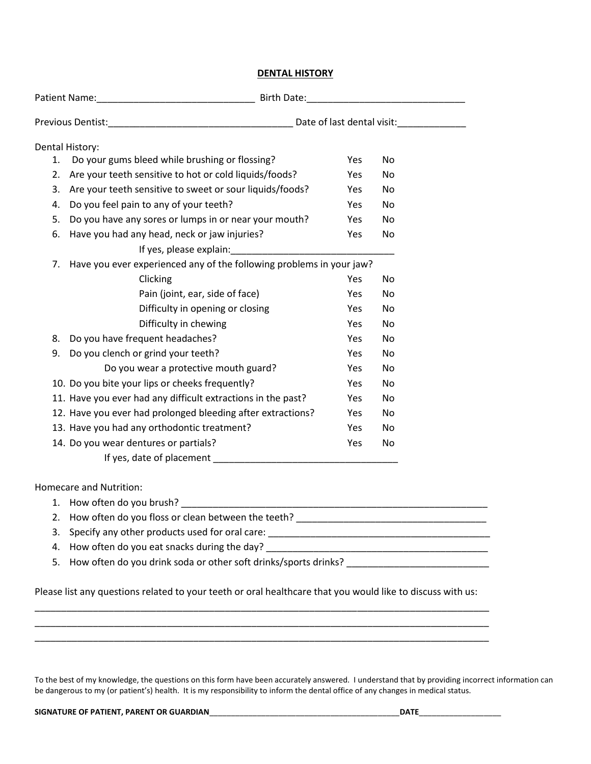#### **DENTAL HISTORY**

|    | Dental History:                                                      |     |    |
|----|----------------------------------------------------------------------|-----|----|
| 1. | Do your gums bleed while brushing or flossing?                       | Yes | No |
| 2. | Are your teeth sensitive to hot or cold liquids/foods?               | Yes | No |
| 3. | Are your teeth sensitive to sweet or sour liquids/foods?             | Yes | No |
| 4. | Do you feel pain to any of your teeth?                               | Yes | No |
| 5. | Do you have any sores or lumps in or near your mouth?                | Yes | No |
| 6. | Have you had any head, neck or jaw injuries?                         | Yes | No |
|    |                                                                      |     |    |
| 7. | Have you ever experienced any of the following problems in your jaw? |     |    |
|    | Clicking                                                             | Yes | No |
|    | Pain (joint, ear, side of face)                                      | Yes | No |
|    | Difficulty in opening or closing                                     | Yes | No |
|    | Difficulty in chewing                                                | Yes | No |
| 8. | Do you have frequent headaches?                                      | Yes | No |
| 9. | Do you clench or grind your teeth?                                   | Yes | No |
|    | Do you wear a protective mouth guard?                                | Yes | No |
|    | 10. Do you bite your lips or cheeks frequently?                      | Yes | No |
|    | 11. Have you ever had any difficult extractions in the past?         | Yes | No |
|    | 12. Have you ever had prolonged bleeding after extractions?          | Yes | No |
|    | 13. Have you had any orthodontic treatment?                          | Yes | No |
|    | 14. Do you wear dentures or partials?                                | Yes | No |
|    |                                                                      |     |    |

Homecare and Nutrition:

- 1. How often do you brush? \_\_\_\_\_\_\_\_\_\_\_\_\_\_\_\_\_\_\_\_\_\_\_\_\_\_\_\_\_\_\_\_\_\_\_\_\_\_\_\_\_\_\_\_\_\_\_\_\_\_\_\_\_\_\_\_\_\_
- 2. How often do you floss or clean between the teeth? \_\_\_\_\_\_\_\_\_\_\_\_\_\_\_\_\_\_\_\_\_\_\_\_\_\_\_\_\_\_\_\_\_\_\_\_
- 3. Specify any other products used for oral care: \_\_\_\_\_\_\_\_\_\_\_\_\_\_\_\_\_\_\_\_\_\_\_\_\_\_\_\_\_\_\_\_\_\_\_\_\_\_\_\_\_\_
- 4. How often do you eat snacks during the day? \_\_\_\_\_\_\_\_\_\_\_\_\_\_\_\_\_\_\_\_\_\_\_\_\_\_\_\_\_\_\_\_\_\_\_\_\_\_\_\_\_\_
- 5. How often do you drink soda or other soft drinks/sports drinks? \_\_\_\_\_\_\_\_\_\_\_\_\_\_\_\_\_\_\_\_\_\_\_\_\_\_\_

Please list any questions related to your teeth or oral healthcare that you would like to discuss with us:

\_\_\_\_\_\_\_\_\_\_\_\_\_\_\_\_\_\_\_\_\_\_\_\_\_\_\_\_\_\_\_\_\_\_\_\_\_\_\_\_\_\_\_\_\_\_\_\_\_\_\_\_\_\_\_\_\_\_\_\_\_\_\_\_\_\_\_\_\_\_\_\_\_\_\_\_\_\_\_\_\_\_\_\_\_\_ \_\_\_\_\_\_\_\_\_\_\_\_\_\_\_\_\_\_\_\_\_\_\_\_\_\_\_\_\_\_\_\_\_\_\_\_\_\_\_\_\_\_\_\_\_\_\_\_\_\_\_\_\_\_\_\_\_\_\_\_\_\_\_\_\_\_\_\_\_\_\_\_\_\_\_\_\_\_\_\_\_\_\_\_\_\_ \_\_\_\_\_\_\_\_\_\_\_\_\_\_\_\_\_\_\_\_\_\_\_\_\_\_\_\_\_\_\_\_\_\_\_\_\_\_\_\_\_\_\_\_\_\_\_\_\_\_\_\_\_\_\_\_\_\_\_\_\_\_\_\_\_\_\_\_\_\_\_\_\_\_\_\_\_\_\_\_\_\_\_\_\_\_

To the best of my knowledge, the questions on this form have been accurately answered. I understand that by providing incorrect information can be dangerous to my (or patient's) health. It is my responsibility to inform the dental office of any changes in medical status.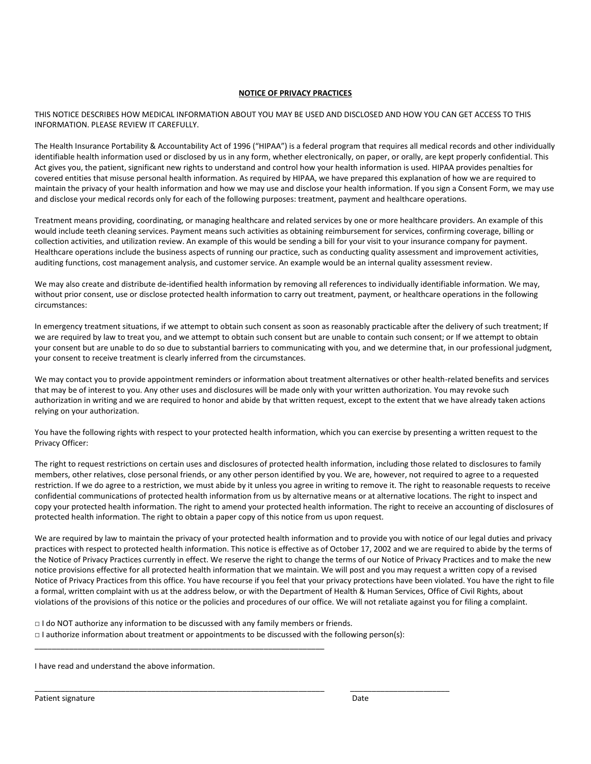#### **NOTICE OF PRIVACY PRACTICES**

THIS NOTICE DESCRIBES HOW MEDICAL INFORMATION ABOUT YOU MAY BE USED AND DISCLOSED AND HOW YOU CAN GET ACCESS TO THIS INFORMATION. PLEASE REVIEW IT CAREFULLY.

The Health Insurance Portability & Accountability Act of 1996 ("HIPAA") is a federal program that requires all medical records and other individually identifiable health information used or disclosed by us in any form, whether electronically, on paper, or orally, are kept properly confidential. This Act gives you, the patient, significant new rights to understand and control how your health information is used. HIPAA provides penalties for covered entities that misuse personal health information. As required by HIPAA, we have prepared this explanation of how we are required to maintain the privacy of your health information and how we may use and disclose your health information. If you sign a Consent Form, we may use and disclose your medical records only for each of the following purposes: treatment, payment and healthcare operations.

Treatment means providing, coordinating, or managing healthcare and related services by one or more healthcare providers. An example of this would include teeth cleaning services. Payment means such activities as obtaining reimbursement for services, confirming coverage, billing or collection activities, and utilization review. An example of this would be sending a bill for your visit to your insurance company for payment. Healthcare operations include the business aspects of running our practice, such as conducting quality assessment and improvement activities, auditing functions, cost management analysis, and customer service. An example would be an internal quality assessment review.

We may also create and distribute de-identified health information by removing all references to individually identifiable information. We may, without prior consent, use or disclose protected health information to carry out treatment, payment, or healthcare operations in the following circumstances:

In emergency treatment situations, if we attempt to obtain such consent as soon as reasonably practicable after the delivery of such treatment; If we are required by law to treat you, and we attempt to obtain such consent but are unable to contain such consent; or If we attempt to obtain your consent but are unable to do so due to substantial barriers to communicating with you, and we determine that, in our professional judgment, your consent to receive treatment is clearly inferred from the circumstances.

We may contact you to provide appointment reminders or information about treatment alternatives or other health-related benefits and services that may be of interest to you. Any other uses and disclosures will be made only with your written authorization. You may revoke such authorization in writing and we are required to honor and abide by that written request, except to the extent that we have already taken actions relying on your authorization.

You have the following rights with respect to your protected health information, which you can exercise by presenting a written request to the Privacy Officer:

The right to request restrictions on certain uses and disclosures of protected health information, including those related to disclosures to family members, other relatives, close personal friends, or any other person identified by you. We are, however, not required to agree to a requested restriction. If we do agree to a restriction, we must abide by it unless you agree in writing to remove it. The right to reasonable requests to receive confidential communications of protected health information from us by alternative means or at alternative locations. The right to inspect and copy your protected health information. The right to amend your protected health information. The right to receive an accounting of disclosures of protected health information. The right to obtain a paper copy of this notice from us upon request.

We are required by law to maintain the privacy of your protected health information and to provide you with notice of our legal duties and privacy practices with respect to protected health information. This notice is effective as of October 17, 2002 and we are required to abide by the terms of the Notice of Privacy Practices currently in effect. We reserve the right to change the terms of our Notice of Privacy Practices and to make the new notice provisions effective for all protected health information that we maintain. We will post and you may request a written copy of a revised Notice of Privacy Practices from this office. You have recourse if you feel that your privacy protections have been violated. You have the right to file a formal, written complaint with us at the address below, or with the Department of Health & Human Services, Office of Civil Rights, about violations of the provisions of this notice or the policies and procedures of our office. We will not retaliate against you for filing a complaint.

 $\Box$  I do NOT authorize any information to be discussed with any family members or friends.  $\Box$  I authorize information about treatment or appointments to be discussed with the following person(s):

\_\_\_\_\_\_\_\_\_\_\_\_\_\_\_\_\_\_\_\_\_\_\_\_\_\_\_\_\_\_\_\_\_\_\_\_\_\_\_\_\_\_\_\_\_\_\_\_\_\_\_\_\_\_\_\_\_\_\_\_\_\_\_\_\_\_\_ \_\_\_\_\_\_\_\_\_\_\_\_\_\_\_\_\_\_\_\_\_\_\_

\_\_\_\_\_\_\_\_\_\_\_\_\_\_\_\_\_\_\_\_\_\_\_\_\_\_\_\_\_\_\_\_\_\_\_\_\_\_\_\_\_\_\_\_\_\_\_\_\_\_\_\_\_\_\_\_\_\_\_\_\_\_\_\_\_\_\_

I have read and understand the above information.

Patient signature Date Date of the Date of the Date of the Date of the Date of the Date of the Date of the Date of the Date of the Date of the Date of the Date of the Date of the Date of the Date of the Date of the Date of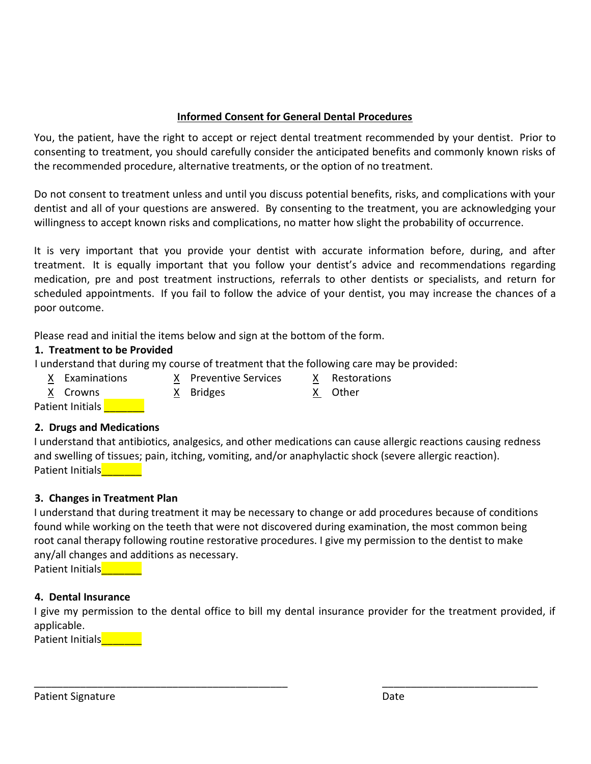### **Informed Consent for General Dental Procedures**

You, the patient, have the right to accept or reject dental treatment recommended by your dentist. Prior to consenting to treatment, you should carefully consider the anticipated benefits and commonly known risks of the recommended procedure, alternative treatments, or the option of no treatment.

Do not consent to treatment unless and until you discuss potential benefits, risks, and complications with your dentist and all of your questions are answered. By consenting to the treatment, you are acknowledging your willingness to accept known risks and complications, no matter how slight the probability of occurrence.

It is very important that you provide your dentist with accurate information before, during, and after treatment. It is equally important that you follow your dentist's advice and recommendations regarding medication, pre and post treatment instructions, referrals to other dentists or specialists, and return for scheduled appointments. If you fail to follow the advice of your dentist, you may increase the chances of a poor outcome.

Please read and initial the items below and sign at the bottom of the form.

## **1. Treatment to be Provided**

I understand that during my course of treatment that the following care may be provided:

- 
- $X$  Examinations  $X$  Preventive Services X Restorations
- X Crowns X Bridges X X Other
- Patient Initials **Lationary**
- **2. Drugs and Medications**

I understand that antibiotics, analgesics, and other medications can cause allergic reactions causing redness and swelling of tissues; pain, itching, vomiting, and/or anaphylactic shock (severe allergic reaction). Patient Initials

# **3. Changes in Treatment Plan**

I understand that during treatment it may be necessary to change or add procedures because of conditions found while working on the teeth that were not discovered during examination, the most common being root canal therapy following routine restorative procedures. I give my permission to the dentist to make any/all changes and additions as necessary.

Patient Initials**Number** 

# **4. Dental Insurance**

I give my permission to the dental office to bill my dental insurance provider for the treatment provided, if applicable.

\_\_\_\_\_\_\_\_\_\_\_\_\_\_\_\_\_\_\_\_\_\_\_\_\_\_\_\_\_\_\_\_\_\_\_\_\_\_\_\_\_\_\_\_ \_\_\_\_\_\_\_\_\_\_\_\_\_\_\_\_\_\_\_\_\_\_\_\_\_\_\_

Patient Initials**Quarter**